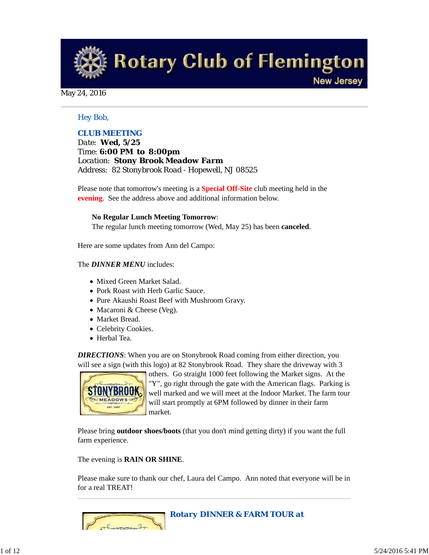**Rotary Club of Flemington** 

**New Jersey** 

#### May 24, 2016

### *Hey Bob,*

## *CLUB MEETING*

*Date: Wed, 5/25 Time: 6:00 PM to 8:00pm Location: Stony Brook Meadow Farm Address: 82 Stonybrook Road - Hopewell, NJ 08525*

Please note that tomorrow's meeting is a **Special Off-Site** club meeting held in the **evening**. See the address above and additional information below.

#### **No Regular Lunch Meeting Tomorrow**:

The regular lunch meeting tomorrow (Wed, May 25) has been **canceled**.

Here are some updates from Ann del Campo:

#### The *DINNER MENU* includes:

- Mixed Green Market Salad.
- Pork Roast with Herb Garlic Sauce.
- Pure Akaushi Roast Beef with Mushroom Gravy.
- Macaroni & Cheese (Veg).
- Market Bread.
- Celebrity Cookies.
- Herbal Tea.

*DIRECTIONS*: When you are on Stonybrook Road coming from either direction, you will see a sign (with this logo) at 82 Stonybrook Road. They share the driveway with 3



others. Go straight 1000 feet following the Market signs. At the "Y", go right through the gate with the American flags. Parking is well marked and we will meet at the Indoor Market. The farm tour will start promptly at 6PM followed by dinner in their farm market.

Please bring **outdoor shoes/boots** (that you don't mind getting dirty) if you want the full farm experience.

The evening is **RAIN OR SHINE**.

Please make sure to thank our chef, Laura del Campo. Ann noted that everyone will be in for a real TREAT!

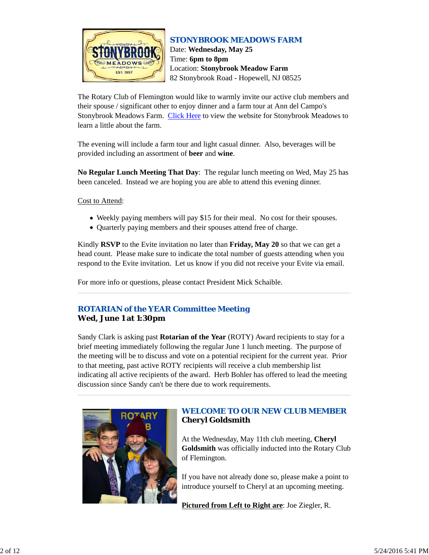

## *STONYBROOK MEADOWS FARM* Date: **Wednesday, May 25** Time: **6pm to 8pm** Location: **Stonybrook Meadow Farm** 82 Stonybrook Road - Hopewell, NJ 08525

The Rotary Club of Flemington would like to warmly invite our active club members and their spouse / significant other to enjoy dinner and a farm tour at Ann del Campo's Stonybrook Meadows Farm. Click Here to view the website for Stonybrook Meadows to learn a little about the farm.

The evening will include a farm tour and light casual dinner. Also, beverages will be provided including an assortment of **beer** and **wine**.

**No Regular Lunch Meeting That Day**: The regular lunch meeting on Wed, May 25 has been canceled. Instead we are hoping you are able to attend this evening dinner.

Cost to Attend:

- Weekly paying members will pay \$15 for their meal. No cost for their spouses.
- Quarterly paying members and their spouses attend free of charge.

Kindly **RSVP** to the Evite invitation no later than **Friday, May 20** so that we can get a head count. Please make sure to indicate the total number of guests attending when you respond to the Evite invitation. Let us know if you did not receive your Evite via email.

For more info or questions, please contact President Mick Schaible.

# *ROTARIAN of the YEAR Committee Meeting*

**Wed, June 1 at 1:30pm**

Sandy Clark is asking past **Rotarian of the Year** (ROTY) Award recipients to stay for a brief meeting immediately following the regular June 1 lunch meeting. The purpose of the meeting will be to discuss and vote on a potential recipient for the current year. Prior to that meeting, past active ROTY recipients will receive a club membership list indicating all active recipients of the award. Herb Bohler has offered to lead the meeting discussion since Sandy can't be there due to work requirements.



# *WELCOME TO OUR NEW CLUB MEMBER* **Cheryl Goldsmith**

At the Wednesday, May 11th club meeting, **Cheryl Goldsmith** was officially inducted into the Rotary Club of Flemington.

If you have not already done so, please make a point to introduce yourself to Cheryl at an upcoming meeting.

**Pictured from Left to Right are**: Joe Ziegler, R.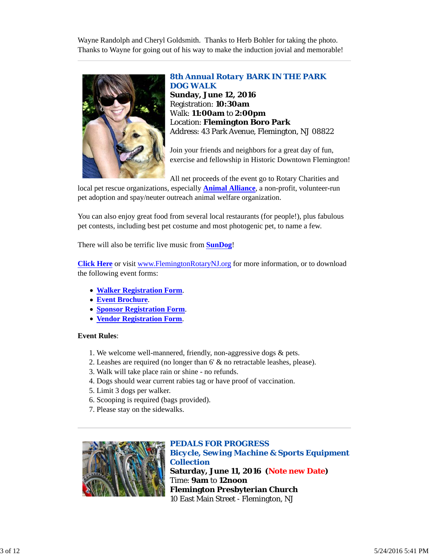Wayne Randolph and Cheryl Goldsmith. Thanks to Herb Bohler for taking the photo. Thanks to Wayne for going out of his way to make the induction jovial and memorable!



*8th Annual Rotary BARK IN THE PARK DOG WALK* **Sunday, June 12, 2016** Registration: **10:30am** Walk: **11:00am** to **2:00pm** Location: **Flemington Boro Park** Address: 43 Park Avenue, Flemington, NJ 08822

Join your friends and neighbors for a great day of fun, exercise and fellowship in Historic Downtown Flemington!

All net proceeds of the event go to Rotary Charities and

local pet rescue organizations, especially **Animal Alliance**, a non-profit, volunteer-run pet adoption and spay/neuter outreach animal welfare organization.

You can also enjoy great food from several local restaurants (for people!), plus fabulous pet contests, including best pet costume and most photogenic pet, to name a few.

There will also be terrific live music from **SunDog**!

**Click Here** or visit www.FlemingtonRotaryNJ.org for more information, or to download the following event forms:

- **Walker Registration Form**.
- **Event Brochure**.
- **Sponsor Registration Form**.
- **Vendor Registration Form**.

### **Event Rules**:

- 1. We welcome well-mannered, friendly, non-aggressive dogs & pets.
- 2. Leashes are required (no longer than 6' & no retractable leashes, please).
- 3. Walk will take place rain or shine no refunds.
- 4. Dogs should wear current rabies tag or have proof of vaccination.
- 5. Limit 3 dogs per walker.
- 6. Scooping is required (bags provided).
- 7. Please stay on the sidewalks.



*PEDALS FOR PROGRESS Bicycle, Sewing Machine & Sports Equipment Collection* **Saturday, June 11, 2016 (Note new Date)** Time: **9am** to **12noon Flemington Presbyterian Church** 10 East Main Street - Flemington, NJ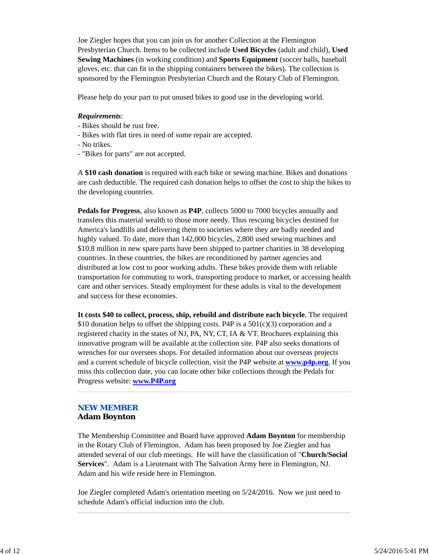Joe Ziegler hopes that you can join us for another Collection at the Flemington Presbyterian Church. Items to be collected include **Used Bicycles** (adult and child), **Used Sewing Machines** (in working condition) and **Sports Equipment** (soccer balls, baseball gloves, etc. that can fit in the shipping containers between the bikes). The collection is sponsored by the Flemington Presbyterian Church and the Rotary Club of Flemington.

Please help do your part to put unused bikes to good use in the developing world.

#### *Requirements*:

- Bikes should be rust free.
- Bikes with flat tires in need of some repair are accepted.
- No trikes.
- "Bikes for parts" are not accepted.

A **\$10 cash donation** is required with each bike or sewing machine. Bikes and donations are cash deductible. The required cash donation helps to offset the cost to ship the bikes to the developing countries.

**Pedals for Progress**, also known as **P4P**, collects 5000 to 7000 bicycles annually and transfers this material wealth to those more needy. Thus rescuing bicycles destined for America's landfills and delivering them to societies where they are badly needed and highly valued. To date, more than 142,000 bicycles, 2,800 used sewing machines and \$10.8 million in new spare parts have been shipped to partner charities in 38 developing countries. In these countries, the bikes are reconditioned by partner agencies and distributed at low cost to poor working adults. These bikes provide them with reliable transportation for commuting to work, transporting produce to market, or accessing health care and other services. Steady employment for these adults is vital to the development and success for these economies.

**It costs \$40 to collect, process, ship, rebuild and distribute each bicycle**. The required \$10 donation helps to offset the shipping costs. P4P is a  $501(c)(3)$  corporation and a registered charity in the states of NJ, PA, NY, CT, IA & VT. Brochures explaining this innovative program will be available at the collection site. P4P also seeks donations of wrenches for our oversees shops. For detailed information about our overseas projects and a current schedule of bicycle collection, visit the P4P website at **www.p4p.org**. If you miss this collection date, you can locate other bike collections through the Pedals for Progress website: **www.P4P.org**

#### *NEW MEMBER* **Adam Boynton**

The Membership Committee and Board have approved **Adam Boynton** for membership in the Rotary Club of Flemington. Adam has been proposed by Joe Ziegler and has attended several of our club meetings. He will have the classification of "**Church/Social Services**". Adam is a Lieutenant with The Salvation Army here in Flemington, NJ. Adam and his wife reside here in Flemington.

Joe Ziegler completed Adam's orientation meeting on 5/24/2016. Now we just need to schedule Adam's official induction into the club.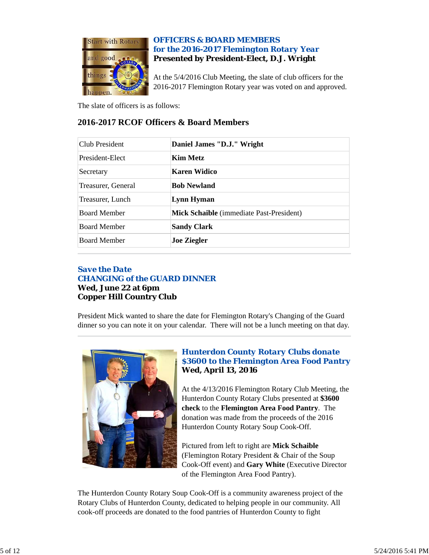

# *OFFICERS & BOARD MEMBERS for the 2016-2017 Flemington Rotary Year* **Presented by President-Elect, D.J. Wright**

At the 5/4/2016 Club Meeting, the slate of club officers for the 2016-2017 Flemington Rotary year was voted on and approved.

The slate of officers is as follows:

# **2016-2017 RCOF Officers & Board Members**

| Club President      | Daniel James "D.J." Wright                      |
|---------------------|-------------------------------------------------|
| President-Elect     | Kim Metz                                        |
| Secretary           | Karen Widico                                    |
| Treasurer, General  | <b>Bob Newland</b>                              |
| Treasurer, Lunch    | Lynn Hyman                                      |
| <b>Board Member</b> | <b>Mick Schaible</b> (immediate Past-President) |
| <b>Board Member</b> | <b>Sandy Clark</b>                              |
| <b>Board Member</b> | <b>Joe Ziegler</b>                              |

# *Save the Date CHANGING of the GUARD DINNER*

## **Wed, June 22 at 6pm Copper Hill Country Club**

President Mick wanted to share the date for Flemington Rotary's Changing of the Guard dinner so you can note it on your calendar. There will not be a lunch meeting on that day.



# *Hunterdon County Rotary Clubs donate \$3600 to the Flemington Area Food Pantry* **Wed, April 13, 2016**

At the 4/13/2016 Flemington Rotary Club Meeting, the Hunterdon County Rotary Clubs presented at **\$3600 check** to the **Flemington Area Food Pantry**. The donation was made from the proceeds of the 2016 Hunterdon County Rotary Soup Cook-Off.

Pictured from left to right are **Mick Schaible** (Flemington Rotary President & Chair of the Soup Cook-Off event) and **Gary White** (Executive Director of the Flemington Area Food Pantry).

The Hunterdon County Rotary Soup Cook-Off is a community awareness project of the Rotary Clubs of Hunterdon County, dedicated to helping people in our community. All cook-off proceeds are donated to the food pantries of Hunterdon County to fight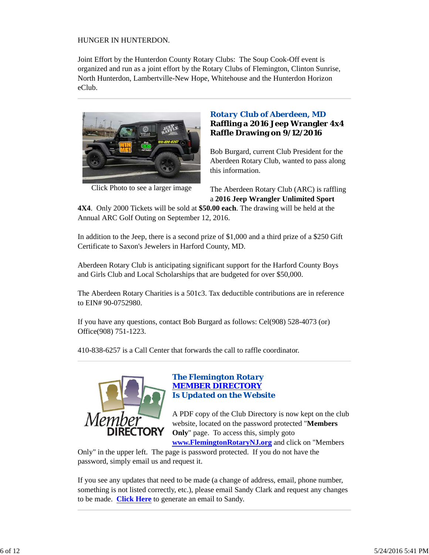## HUNGER IN HUNTERDON.

Joint Effort by the Hunterdon County Rotary Clubs: The Soup Cook-Off event is organized and run as a joint effort by the Rotary Clubs of Flemington, Clinton Sunrise, North Hunterdon, Lambertville-New Hope, Whitehouse and the Hunterdon Horizon eClub.



Click Photo to see a larger image

# *Rotary Club of Aberdeen, MD* **Raffling a 2016 Jeep Wrangler 4x4 Raffle Drawing on 9/12/2016**

Bob Burgard, current Club President for the Aberdeen Rotary Club, wanted to pass along this information.

The Aberdeen Rotary Club (ARC) is raffling a **2016 Jeep Wrangler Unlimited Sport**

**4X4**. Only 2000 Tickets will be sold at **\$50.00 each**. The drawing will be held at the Annual ARC Golf Outing on September 12, 2016.

In addition to the Jeep, there is a second prize of \$1,000 and a third prize of a \$250 Gift Certificate to Saxon's Jewelers in Harford County, MD.

Aberdeen Rotary Club is anticipating significant support for the Harford County Boys and Girls Club and Local Scholarships that are budgeted for over \$50,000.

The Aberdeen Rotary Charities is a 501c3. Tax deductible contributions are in reference to EIN# 90-0752980.

If you have any questions, contact Bob Burgard as follows: Cel(908) 528-4073 (or) Office(908) 751-1223.

410-838-6257 is a Call Center that forwards the call to raffle coordinator.



# *The Flemington Rotary MEMBER DIRECTORY Is Updated on the Website*

A PDF copy of the Club Directory is now kept on the club website, located on the password protected "**Members Only**" page. To access this, simply goto **www.FlemingtonRotaryNJ.org** and click on "Members

Only" in the upper left. The page is password protected. If you do not have the password, simply email us and request it.

If you see any updates that need to be made (a change of address, email, phone number, something is not listed correctly, etc.), please email Sandy Clark and request any changes to be made. **Click Here** to generate an email to Sandy.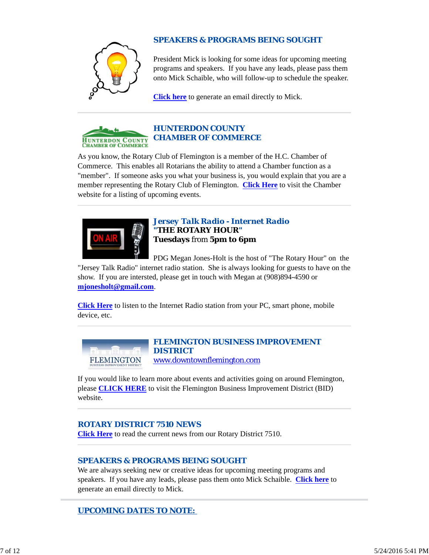

# *SPEAKERS & PROGRAMS BEING SOUGHT*

President Mick is looking for some ideas for upcoming meeting programs and speakers. If you have any leads, please pass them onto Mick Schaible, who will follow-up to schedule the speaker.

**Click here** to generate an email directly to Mick.



# *HUNTERDON COUNTY CHAMBER OF COMMERCE*

As you know, the Rotary Club of Flemington is a member of the H.C. Chamber of Commerce. This enables all Rotarians the ability to attend a Chamber function as a "member". If someone asks you what your business is, you would explain that you are a member representing the Rotary Club of Flemington. **Click Here** to visit the Chamber website for a listing of upcoming events.



*Jersey Talk Radio - Internet Radio "THE ROTARY HOUR"* **Tuesdays** from **5pm to 6pm**

PDG Megan Jones-Holt is the host of "The Rotary Hour" on the

"Jersey Talk Radio" internet radio station. She is always looking for guests to have on the show. If you are intersted, please get in touch with Megan at (908)894-4590 or **mjonesholt@gmail.com**.

**Click Here** to listen to the Internet Radio station from your PC, smart phone, mobile device, etc.



### *FLEMINGTON BUSINESS IMPROVEMENT DISTRICT* www.downtownflemington.com

If you would like to learn more about events and activities going on around Flemington, please **CLICK HERE** to visit the Flemington Business Improvement District (BID) website.

# *ROTARY DISTRICT 7510 NEWS*

**Click Here** to read the current news from our Rotary District 7510.

# *SPEAKERS & PROGRAMS BEING SOUGHT*

We are always seeking new or creative ideas for upcoming meeting programs and speakers. If you have any leads, please pass them onto Mick Schaible. **Click here** to generate an email directly to Mick.

*UPCOMING DATES TO NOTE:*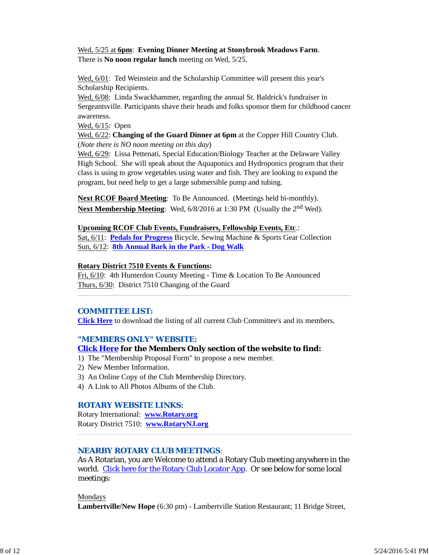Wed, 5/25 at **6pm**: **Evening Dinner Meeting at Stonybrook Meadows Farm**. There is **No noon regular lunch** meeting on Wed, 5/25.

Wed, 6/01: Ted Weinstein and the Scholarship Committee will present this year's Scholarship Recipients.

Wed, 6/08: Linda Swackhammer, regarding the annual St. Baldrick's fundraiser in Sergeantsville. Participants shave their heads and folks sponsor them for childhood cancer awareness.

Wed, 6/15: Open

Wed, 6/22: **Changing of the Guard Dinner at 6pm** at the Copper Hill Country Club. (*Note there is NO noon meeting on this day*)

Wed, 6/29: Lissa Pettenati, Special Education/Biology Teacher at the Delaware Valley High School. She will speak about the Aquaponics and Hydroponics program that their class is using to grow vegetables using water and fish. They are looking to expand the program, but need help to get a large submersible pump and tubing.

**Next RCOF Board Meeting**: To Be Announced. (Meetings held bi-monthly). **Next Membership Meeting:** Wed,  $6/8/2016$  at 1:30 PM (Usually the 2<sup>nd</sup> Wed).

#### **Upcoming RCOF Club Events, Fundraisers, Fellowship Events, Etc**.:

Sat, 6/11: **Pedals for Progress** Bicycle, Sewing Machine & Sports Gear Collection Sun, 6/12: **8th Annual Bark in the Park - Dog Walk**

#### **Rotary District 7510 Events & Functions:**

Fri, 6/10: 4th Hunterdon County Meeting - Time & Location To Be Announced Thurs, 6/30: District 7510 Changing of the Guard

### *COMMITTEE LIST:*

**Click Here** to download the listing of all current Club Committee's and its members.

#### *"MEMBERS ONLY" WEBSITE:*

### **Click Here for the Members Only section of the website to find:**

- 1) The "Membership Proposal Form" to propose a new member.
- 2) New Member Information.
- 3) An Online Copy of the Club Membership Directory.
- 4) A Link to All Photos Albums of the Club.

#### *ROTARY WEBSITE LINKS:*

Rotary International: **www.Rotary.org** Rotary District 7510: **www.RotaryNJ.org**

## *NEARBY ROTARY CLUB MEETINGS:*

As A Rotarian, you are Welcome to attend a Rotary Club meeting anywhere in the world. Click here for the Rotary Club Locator App. Or see below for some local meetings:

Mondays

**Lambertville/New Hope** (6:30 pm) - Lambertville Station Restaurant; 11 Bridge Street,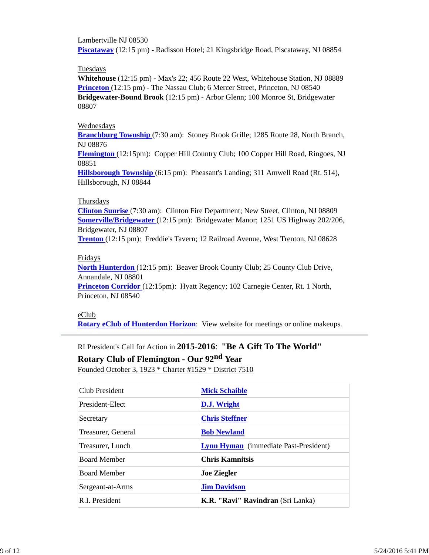Lambertville NJ 08530 **Piscataway** (12:15 pm) - Radisson Hotel; 21 Kingsbridge Road, Piscataway, NJ 08854

#### Tuesdays

**Whitehouse** (12:15 pm) - Max's 22; 456 Route 22 West, Whitehouse Station, NJ 08889 **Princeton** (12:15 pm) - The Nassau Club; 6 Mercer Street, Princeton, NJ 08540 **Bridgewater-Bound Brook** (12:15 pm) - Arbor Glenn; 100 Monroe St, Bridgewater 08807

#### Wednesdays

**Branchburg Township** (7:30 am): Stoney Brook Grille; 1285 Route 28, North Branch, NJ 08876

**Flemington** (12:15pm): Copper Hill Country Club; 100 Copper Hill Road, Ringoes, NJ 08851

**Hillsborough Township** (6:15 pm): Pheasant's Landing; 311 Amwell Road (Rt. 514), Hillsborough, NJ 08844

#### Thursdays

**Clinton Sunrise** (7:30 am): Clinton Fire Department; New Street, Clinton, NJ 08809 **Somerville/Bridgewater** (12:15 pm): Bridgewater Manor; 1251 US Highway 202/206, Bridgewater, NJ 08807

**Trenton** (12:15 pm): Freddie's Tavern; 12 Railroad Avenue, West Trenton, NJ 08628

### Fridays

**North Hunterdon** (12:15 pm): Beaver Brook County Club; 25 County Club Drive, Annandale, NJ 08801

**Princeton Corridor** (12:15pm): Hyatt Regency; 102 Carnegie Center, Rt. 1 North, Princeton, NJ 08540

### eClub

**Rotary eClub of Hunterdon Horizon**: View website for meetings or online makeups.

# RI President's Call for Action in **2015-2016**: **"Be A Gift To The World"**

**Rotary Club of Flemington - Our 92nd Year**

Founded October 3, 1923 \* Charter #1529 \* District 7510

| Club President      | <b>Mick Schaible</b>                         |
|---------------------|----------------------------------------------|
|                     |                                              |
| President-Elect     | D.J. Wright                                  |
| Secretary           | <b>Chris Steffner</b>                        |
| Treasurer, General  | <b>Bob Newland</b>                           |
| Treasurer, Lunch    | <b>Lynn Hyman</b> (immediate Past-President) |
| <b>Board Member</b> | <b>Chris Kamnitsis</b>                       |
| <b>Board Member</b> | <b>Joe Ziegler</b>                           |
| Sergeant-at-Arms    | <b>Jim Davidson</b>                          |
| R.I. President      | <b>K.R. "Ravi" Ravindran</b> (Sri Lanka)     |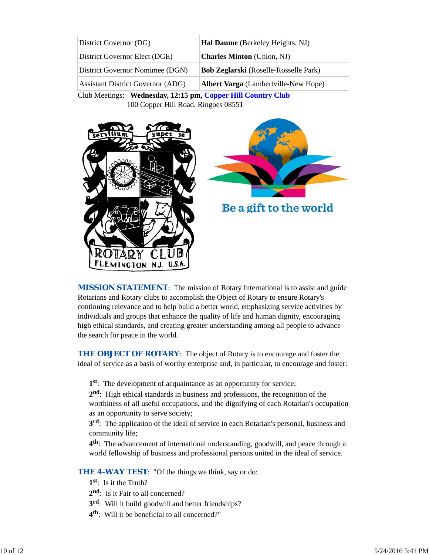| District Governor (DG)                   | <b>Hal Daume</b> (Berkeley Heights, NJ)      |
|------------------------------------------|----------------------------------------------|
| District Governor Elect (DGE)            | <b>Charles Minton</b> (Union, NJ)            |
| District Governor Nomimee (DGN)          | <b>Bob Zeglarski</b> (Roselle-Rosselle Park) |
| <b>Assistant District Governor (ADG)</b> | <b>Albert Varga</b> (Lambertville-New Hope)  |

Club Meetings: **Wednesday, 12:15 pm, Copper Hill Country Club** 100 Copper Hill Road, Ringoes 08551





**MISSION STATEMENT:** The mission of Rotary International is to assist and guide Rotarians and Rotary clubs to accomplish the Object of Rotary to ensure Rotary's continuing relevance and to help build a better world, emphasizing service activities by individuals and groups that enhance the quality of life and human dignity, encouraging high ethical standards, and creating greater understanding among all people to advance the search for peace in the world.

**THE OBJECT OF ROTARY:** The object of Rotary is to encourage and foster the ideal of service as a basis of worthy enterprise and, in particular, to encourage and foster:

**1st**: The development of acquaintance as an opportunity for service;

**2nd**: High ethical standards in business and professions, the recognition of the worthiness of all useful occupations, and the dignifying of each Rotarian's occupation as an opportunity to serve society;

**3rd**: The application of the ideal of service in each Rotarian's personal, business and community life;

**4th**: The advancement of international understanding, goodwill, and peace through a world fellowship of business and professional persons united in the ideal of service.

**THE 4-WAY TEST:** "Of the things we think, say or do:

- **1st**: Is it the Truth?
- 2<sup>nd</sup>: Is it Fair to all concerned?
- **3rd**: Will it build goodwill and better friendships?
- **4th**: Will it be beneficial to all concerned?"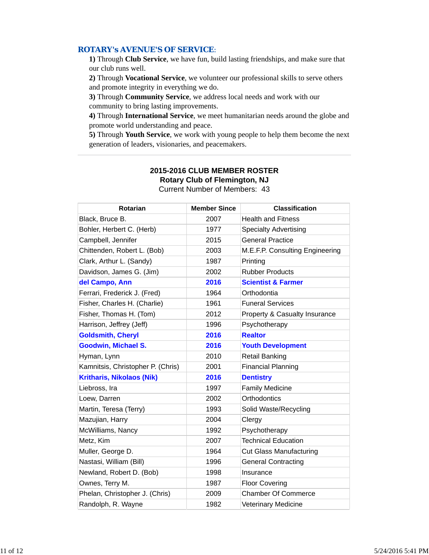### *ROTARY's AVENUE'S OF SERVICE*:

**1)** Through **Club Service**, we have fun, build lasting friendships, and make sure that our club runs well.

**2)** Through **Vocational Service**, we volunteer our professional skills to serve others and promote integrity in everything we do.

**3)** Through **Community Service**, we address local needs and work with our community to bring lasting improvements.

**4)** Through **International Service**, we meet humanitarian needs around the globe and promote world understanding and peace.

**5)** Through **Youth Service**, we work with young people to help them become the next generation of leaders, visionaries, and peacemakers.

| <b>Rotarian</b>                   | <b>Member Since</b> | <b>Classification</b>           |
|-----------------------------------|---------------------|---------------------------------|
| Black, Bruce B.                   | 2007                | <b>Health and Fitness</b>       |
| Bohler, Herbert C. (Herb)         | 1977                | <b>Specialty Advertising</b>    |
| Campbell, Jennifer                | 2015                | <b>General Practice</b>         |
| Chittenden, Robert L. (Bob)       | 2003                | M.E.F.P. Consulting Engineering |
| Clark, Arthur L. (Sandy)          | 1987                | Printing                        |
| Davidson, James G. (Jim)          | 2002                | <b>Rubber Products</b>          |
| del Campo, Ann                    | 2016                | <b>Scientist &amp; Farmer</b>   |
| Ferrari, Frederick J. (Fred)      | 1964                | Orthodontia                     |
| Fisher, Charles H. (Charlie)      | 1961                | <b>Funeral Services</b>         |
| Fisher, Thomas H. (Tom)           | 2012                | Property & Casualty Insurance   |
| Harrison, Jeffrey (Jeff)          | 1996                | Psychotherapy                   |
| <b>Goldsmith, Cheryl</b>          | 2016                | <b>Realtor</b>                  |
| <b>Goodwin, Michael S.</b>        | 2016                | <b>Youth Development</b>        |
| Hyman, Lynn                       | 2010                | <b>Retail Banking</b>           |
| Kamnitsis, Christopher P. (Chris) | 2001                | <b>Financial Planning</b>       |
| <b>Kritharis, Nikolaos (Nik)</b>  | 2016                | <b>Dentistry</b>                |
| Liebross, Ira                     | 1997                | <b>Family Medicine</b>          |
| Loew, Darren                      | 2002                | Orthodontics                    |
| Martin, Teresa (Terry)            | 1993                | Solid Waste/Recycling           |
| Mazujian, Harry                   | 2004                | Clergy                          |
| McWilliams, Nancy                 | 1992                | Psychotherapy                   |
| Metz, Kim                         | 2007                | <b>Technical Education</b>      |
| Muller, George D.                 | 1964                | <b>Cut Glass Manufacturing</b>  |
| Nastasi, William (Bill)           | 1996                | <b>General Contracting</b>      |
| Newland, Robert D. (Bob)          | 1998                | Insurance                       |
| Ownes, Terry M.                   | 1987                | <b>Floor Covering</b>           |
| Phelan, Christopher J. (Chris)    | 2009                | <b>Chamber Of Commerce</b>      |
| Randolph, R. Wayne                | 1982                | <b>Veterinary Medicine</b>      |

### **2015-2016 CLUB MEMBER ROSTER Rotary Club of Flemington, NJ** Current Number of Members: 43